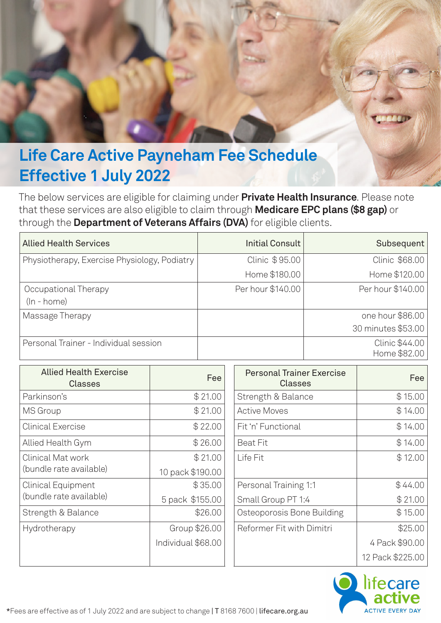

## **Effective 1 July 2022**

The below services are eligible for claiming under **Private Health Insurance**. Please note that these services are also eligible to claim through **Medicare EPC plans (\$8 gap)** or through the **Department of Veterans Affairs (DVA)** for eligible clients.

| <b>Allied Health Services</b>                | <b>Initial Consult</b> | Subsequent         |
|----------------------------------------------|------------------------|--------------------|
| Physiotherapy, Exercise Physiology, Podiatry | Clinic \$95.00         | Clinic \$68.00     |
|                                              | Home \$180.00          | Home \$120.00      |
| Occupational Therapy                         | Per hour \$140.00      | Per hour \$140.00  |
| $(ln - home)$                                |                        |                    |
| Massage Therapy                              |                        | one hour \$86.00   |
|                                              |                        | 30 minutes \$53.00 |
| Personal Trainer - Individual session        |                        | Clinic \$44.00     |
|                                              |                        | Home \$82.00       |

| <b>Allied Health Exercise</b><br><b>Classes</b> | Fee                | <b>Personal Trainer Exercise</b><br><b>Classes</b> | Fee              |
|-------------------------------------------------|--------------------|----------------------------------------------------|------------------|
| Parkinson's                                     | \$21.00            | Strength & Balance                                 | \$15.00          |
| <b>MS</b> Group                                 | \$21.00            | <b>Active Moves</b>                                | \$14.00          |
| <b>Clinical Exercise</b>                        | \$22.00            | Fit 'n' Functional                                 | \$14.00          |
| Allied Health Gym                               | \$26.00            | <b>Beat Fit</b>                                    | \$14.00          |
| <b>Clinical Mat work</b>                        | \$21.00            | Life Fit                                           | \$12.00          |
| (bundle rate available)                         | 10 pack \$190.00   |                                                    |                  |
| <b>Clinical Equipment</b>                       | \$35.00            | Personal Training 1:1                              | \$44.00          |
| (bundle rate available)                         | 5 pack \$155.00    | Small Group PT 1:4                                 | \$21.00          |
| Strength & Balance                              | \$26.00            | Osteoporosis Bone Building                         | \$15.00          |
| Hydrotherapy                                    | Group \$26.00      | Reformer Fit with Dimitri                          | \$25.00          |
|                                                 | Individual \$68.00 |                                                    | 4 Pack \$90.00   |
|                                                 |                    |                                                    | 12 Pack \$225.00 |